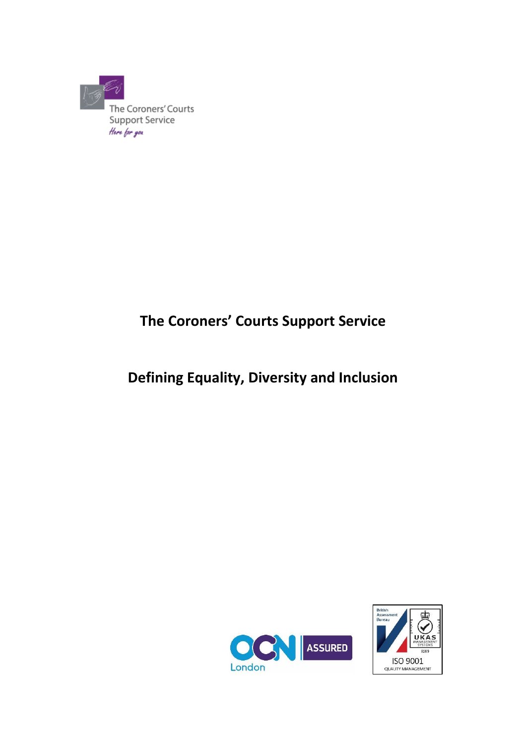

# **The Coroners' Courts Support Service**

# **Defining Equality, Diversity and Inclusion**



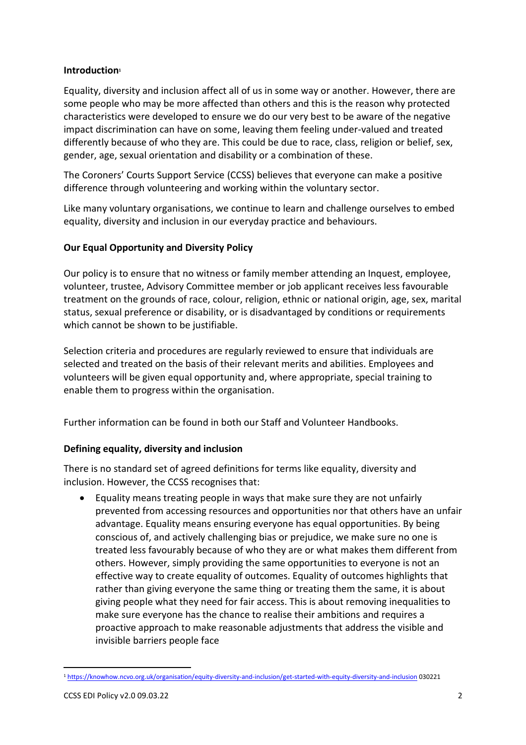#### **Introduction<sup>1</sup>**

Equality, diversity and inclusion affect all of us in some way or another. However, there are some people who may be more affected than others and this is the reason why protected characteristics were developed to ensure we do our very best to be aware of the negative impact discrimination can have on some, leaving them feeling under-valued and treated differently because of who they are. This could be due to race, class, religion or belief, sex, gender, age, sexual orientation and disability or a combination of these.

The Coroners' Courts Support Service (CCSS) believes that everyone can make a positive difference through volunteering and working within the voluntary sector.

Like many voluntary organisations, we continue to learn and challenge ourselves to embed equality, diversity and inclusion in our everyday practice and behaviours.

## **Our Equal Opportunity and Diversity Policy**

Our policy is to ensure that no witness or family member attending an Inquest, employee, volunteer, trustee, Advisory Committee member or job applicant receives less favourable treatment on the grounds of race, colour, religion, ethnic or national origin, age, sex, marital status, sexual preference or disability, or is disadvantaged by conditions or requirements which cannot be shown to be justifiable.

Selection criteria and procedures are regularly reviewed to ensure that individuals are selected and treated on the basis of their relevant merits and abilities. Employees and volunteers will be given equal opportunity and, where appropriate, special training to enable them to progress within the organisation.

Further information can be found in both our Staff and Volunteer Handbooks.

## **Defining equality, diversity and inclusion**

There is no standard set of agreed definitions for terms like equality, diversity and inclusion. However, the CCSS recognises that:

• Equality means treating people in ways that make sure they are not unfairly prevented from accessing resources and opportunities nor that others have an unfair advantage. Equality means ensuring everyone has equal opportunities. By being conscious of, and actively challenging bias or prejudice, we make sure no one is treated less favourably because of who they are or what makes them different from others. However, simply providing the same opportunities to everyone is not an effective way to create equality of outcomes. Equality of outcomes highlights that rather than giving everyone the same thing or treating them the same, it is about giving people what they need for fair access. This is about removing inequalities to make sure everyone has the chance to realise their ambitions and requires a proactive approach to make reasonable adjustments that address the visible and invisible barriers people face

<sup>1</sup> [https://knowhow.ncvo.org.uk/organisation/equity-diversity-and-inclusion/get-started-with-equity-diversity-and-inclusion](about:blank) 030221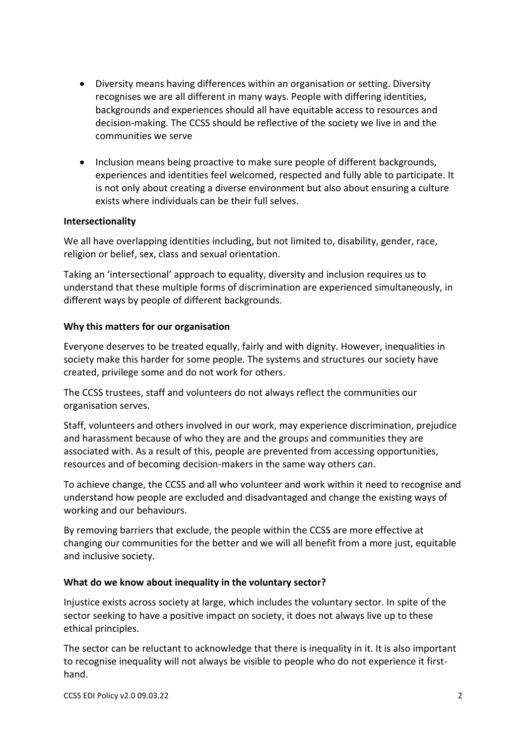- Diversity means having differences within an organisation or setting. Diversity recognises we are all different in many ways. People with differing identities, backgrounds and experiences should all have equitable access to resources and decision-making. The CCSS should be reflective of the society we live in and the communities we serve
- Inclusion means being proactive to make sure people of different backgrounds, experiences and identities feel welcomed, respected and fully able to participate. It is not only about creating a diverse environment but also about ensuring a culture exists where individuals can be their full selves.

#### **Intersectionality**

We all have overlapping identities including, but not limited to, disability, gender, race, religion or belief, sex, class and sexual orientation.

Taking an 'intersectional' approach to equality, diversity and inclusion requires us to understand that these multiple forms of discrimination are experienced simultaneously, in different ways by people of different backgrounds.

#### **Why this matters for our organisation**

Everyone deserves to be treated equally, fairly and with dignity. However, inequalities in society make this harder for some people. The systems and structures our society have created, privilege some and do not work for others.

The CCSS trustees, staff and volunteers do not always reflect the communities our organisation serves.

Staff, volunteers and others involved in our work, may experience discrimination, prejudice and harassment because of who they are and the groups and communities they are associated with. As a result of this, people are prevented from accessing opportunities, resources and of becoming decision-makers in the same way others can.

To achieve change, the CCSS and all who volunteer and work within it need to recognise and understand how people are excluded and disadvantaged and change the existing ways of working and our behaviours.

By removing barriers that exclude, the people within the CCSS are more effective at changing our communities for the better and we will all benefit from a more just, equitable and inclusive society.

#### **What do we know about inequality in the voluntary sector?**

Injustice exists across society at large, which includes the voluntary sector. In spite of the sector seeking to have a positive impact on society, it does not always live up to these ethical principles.

The sector can be reluctant to acknowledge that there is inequality in it. It is also important to recognise inequality will not always be visible to people who do not experience it firsthand.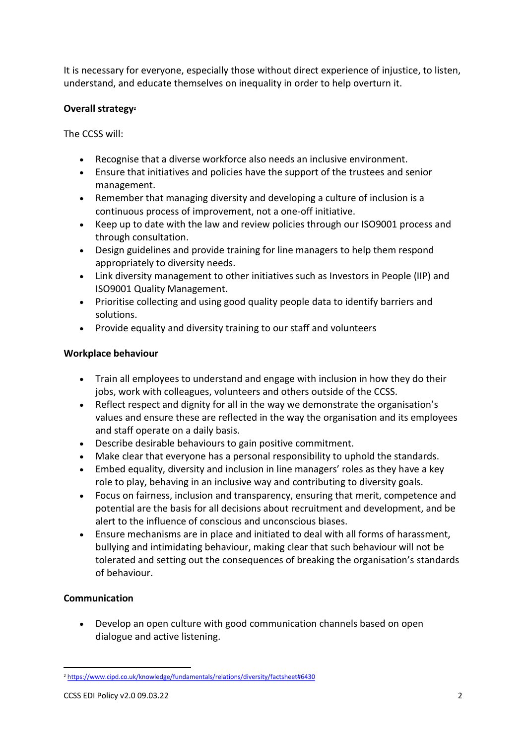It is necessary for everyone, especially those without direct experience of injustice, to listen, understand, and educate themselves on inequality in order to help overturn it.

# **Overall strategy<sup>2</sup>**

The CCSS will:

- Recognise that a diverse workforce also needs an inclusive environment.
- Ensure that initiatives and policies have the support of the trustees and senior management.
- Remember that managing diversity and developing a culture of inclusion is a continuous process of improvement, not a one-off initiative.
- Keep up to date with the law and review policies through our ISO9001 process and through consultation.
- Design guidelines and provide training for line managers to help them respond appropriately to diversity needs.
- Link diversity management to other initiatives such as Investors in People (IIP) and ISO9001 Quality Management.
- Prioritise collecting and using good quality people data to identify barriers and solutions.
- Provide equality and diversity training to our staff and volunteers

## **Workplace behaviour**

- Train all employees to understand and engage with inclusion in how they do their jobs, work with colleagues, volunteers and others outside of the CCSS.
- Reflect respect and dignity for all in the way we demonstrate the organisation's values and ensure these are reflected in the way the organisation and its employees and staff operate on a daily basis.
- Describe desirable behaviours to gain positive commitment.
- Make clear that everyone has a personal responsibility to uphold the standards.
- Embed equality, diversity and inclusion in line managers' roles as they have a key role to play, behaving in an inclusive way and contributing to diversity goals.
- Focus on fairness, inclusion and transparency, ensuring that merit, competence and potential are the basis for all decisions about recruitment and development, and be alert to the influence of conscious and unconscious biases.
- Ensure mechanisms are in place and initiated to deal with all forms of harassment, bullying and intimidating behaviour, making clear that such behaviour will not be tolerated and setting out the consequences of breaking the organisation's standards of behaviour.

# **Communication**

• Develop an open culture with good communication channels based on open dialogue and active listening.

<sup>2</sup> [https://www.cipd.co.uk/knowledge/fundamentals/relations/diversity/factsheet#6430](about:blank#6430)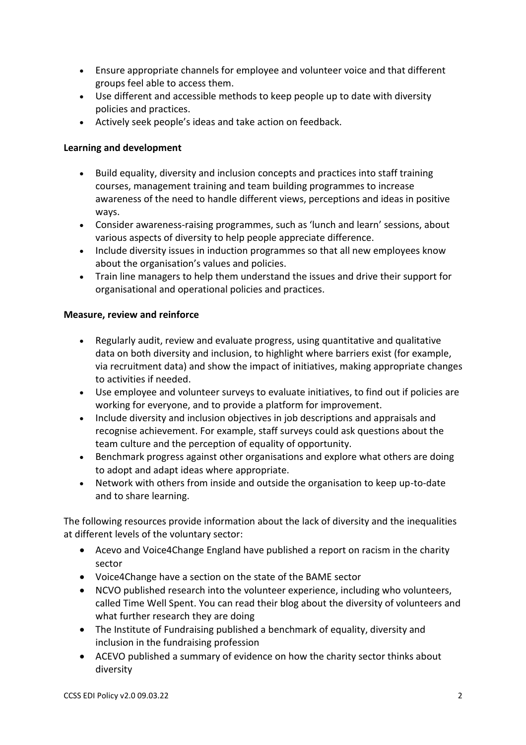- Ensure appropriate channels for employee and volunteer voice and that different groups feel able to access them.
- Use different and accessible methods to keep people up to date with diversity policies and practices.
- Actively seek people's ideas and take action on feedback.

# **Learning and development**

- Build equality, diversity and inclusion concepts and practices into staff training courses, management training and team building programmes to increase awareness of the need to handle different views, perceptions and ideas in positive ways.
- Consider awareness-raising programmes, such as 'lunch and learn' sessions, about various aspects of diversity to help people appreciate difference.
- Include diversity issues in induction programmes so that all new employees know about the organisation's values and policies.
- Train line managers to help them understand the issues and drive their support for organisational and operational policies and practices.

## **Measure, review and reinforce**

- Regularly audit, review and evaluate progress, using quantitative and qualitative data on both diversity and inclusion, to highlight where barriers exist (for example, via recruitment data) and show the impact of initiatives, making appropriate changes to activities if needed.
- Use employee and volunteer surveys to evaluate initiatives, to find out if policies are working for everyone, and to provide a platform for improvement.
- Include diversity and inclusion objectives in job descriptions and appraisals and recognise achievement. For example, staff surveys could ask questions about the team culture and the perception of equality of opportunity.
- Benchmark progress against other organisations and explore what others are doing to adopt and adapt ideas where appropriate.
- Network with others from inside and outside the organisation to keep up-to-date and to share learning.

The following resources provide information about the lack of diversity and the inequalities at different levels of the voluntary sector:

- Acevo and Voice4Change England have published a [report on racism in the charity](about:blank)  [sector](about:blank)
- Voice4Change have a [section on the state of the BAME sector](about:blank)
- NCVO published [research into the volunteer experience, including who volunteers,](about:blank)  [called Time Well Spent.](about:blank) You can read their blog about [the diversity of volunteers and](about:blank)  [what further research they](about:blank) are doing
- The Institute of Fundraising published a [benchmark of equality, diversity and](about:blank)  [inclusion in the fundraising profession](about:blank)
- ACEVO published [a summary of evidence on how the charity sector thinks about](about:blank)  [diversity](about:blank)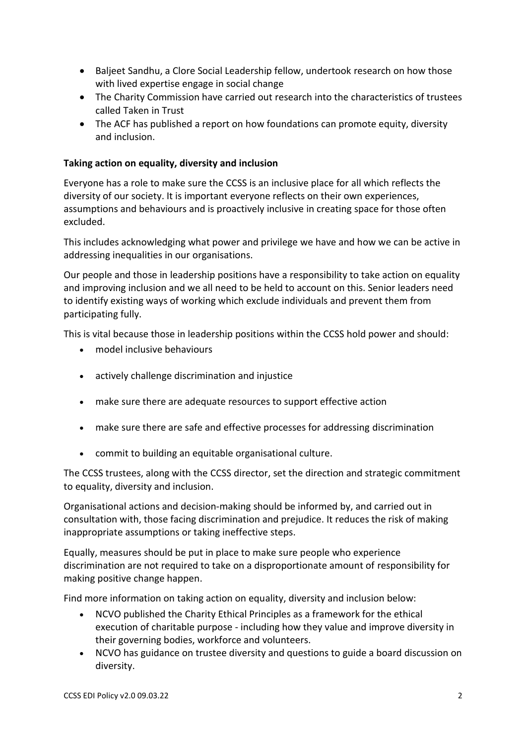- Baljeet Sandhu, a Clore Social Leadership fellow, undertook [research on how those](about:blank)  [with lived expertise engage in social change](about:blank)
- The Charity Commission have carried out [research into the characteristics of trustees](about:blank)  [called Taken in Trust](about:blank)
- The ACF has published a report on [how foundations can promote equity, diversity](about:blank)  [and inclusion.](about:blank)

#### **Taking action on equality, diversity and inclusion**

Everyone has a role to make sure the CCSS is an inclusive place for all which reflects the diversity of our society. It is important everyone reflects on their own experiences, assumptions and behaviours and is proactively inclusive in creating space for those often excluded.

This includes acknowledging what power and privilege we have and how we can be active in addressing inequalities in our organisations.

Our people and those in leadership positions have a responsibility to take action on equality and improving inclusion and we all need to be held to account on this. Senior leaders need to identify existing ways of working which exclude individuals and prevent them from participating fully.

This is vital because those in leadership positions within the CCSS hold power and should:

- model inclusive behaviours
- actively challenge discrimination and injustice
- make sure there are adequate resources to support effective action
- make sure there are safe and effective processes for addressing discrimination
- commit to building an equitable organisational culture.

The CCSS trustees, along with the CCSS director, set the direction and strategic commitment to equality, diversity and inclusion.

Organisational actions and decision-making should be informed by, and carried out in consultation with, those facing discrimination and prejudice. It reduces the risk of making inappropriate assumptions or taking ineffective steps.

Equally, measures should be put in place to make sure people who experience discrimination are not required to take on a disproportionate amount of responsibility for making positive change happen.

Find more information on taking action on equality, diversity and inclusion below:

- NCVO published the [Charity Ethical Principles](about:blank) as a framework for the ethical execution of charitable purpose - including how they value and improve diversity in their governing bodies, workforce and volunteers.
- NCVO has guidance on [trustee diversity](about:blank) and [questions to guide a board discussion on](about:blank)  [diversity.](about:blank)